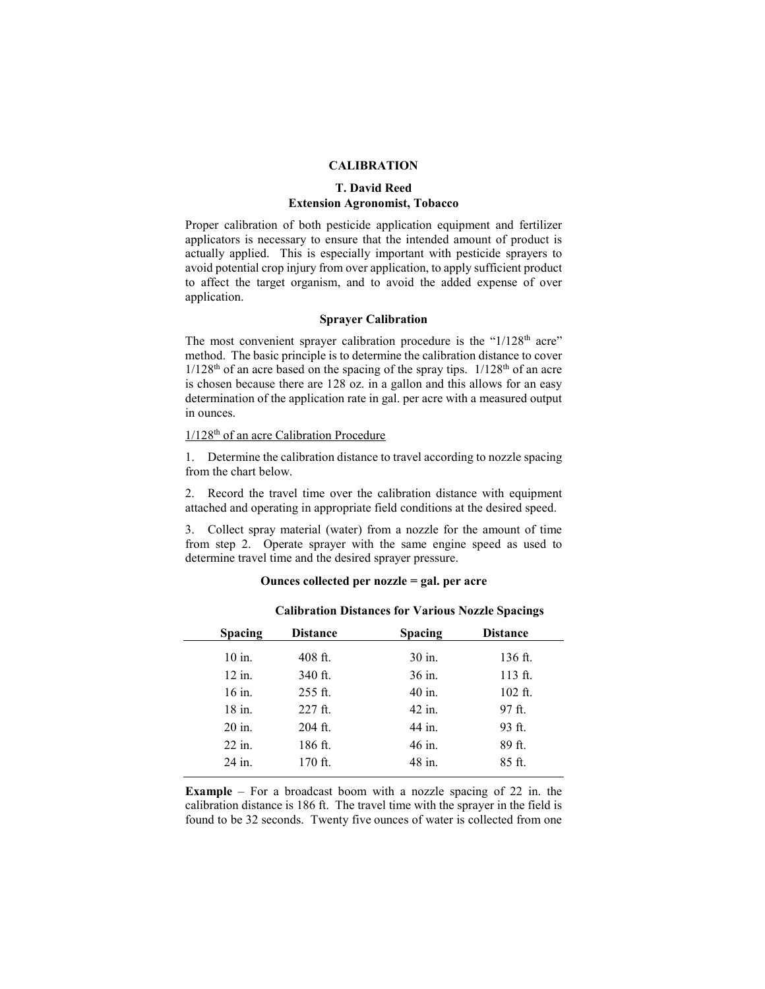# **CALIBRATION**

# **T. David Reed Extension Agronomist, Tobacco**

Proper calibration of both pesticide application equipment and fertilizer applicators is necessary to ensure that the intended amount of product is actually applied. This is especially important with pesticide sprayers to avoid potential crop injury from over application, to apply sufficient product to affect the target organism, and to avoid the added expense of over application.

# **Sprayer Calibration**

The most convenient sprayer calibration procedure is the "1/128<sup>th</sup> acre" method. The basic principle is to determine the calibration distance to cover  $1/128$ <sup>th</sup> of an acre based on the spacing of the spray tips.  $1/128$ <sup>th</sup> of an acre is chosen because there are 128 oz. in a gallon and this allows for an easy determination of the application rate in gal. per acre with a measured output in ounces.

# 1/128th of an acre Calibration Procedure

1. Determine the calibration distance to travel according to nozzle spacing from the chart below.

2. Record the travel time over the calibration distance with equipment attached and operating in appropriate field conditions at the desired speed.

3. Collect spray material (water) from a nozzle for the amount of time from step 2. Operate sprayer with the same engine speed as used to determine travel time and the desired sprayer pressure.

# **Ounces collected per nozzle = gal. per acre**

| <b>Distance</b> | <b>Spacing</b> | <b>Distance</b> |
|-----------------|----------------|-----------------|
| $408$ ft.       | 30 in.         | $136$ ft.       |
| 340 ft.         | 36 in.         | $113$ ft.       |
| $255$ ft.       | 40 in.         | $102$ ft.       |
| $227$ ft.       | 42 in.         | $97$ ft.        |
| $204$ ft.       | 44 in.         | 93 ft.          |
| 186 ft.         | 46 in.         | 89 ft.          |
| 170 ft.         | 48 in.         | 85 ft.          |
|                 |                |                 |

# **Calibration Distances for Various Nozzle Spacings**

**Example** – For a broadcast boom with a nozzle spacing of 22 in. the calibration distance is 186 ft. The travel time with the sprayer in the field is found to be 32 seconds. Twenty five ounces of water is collected from one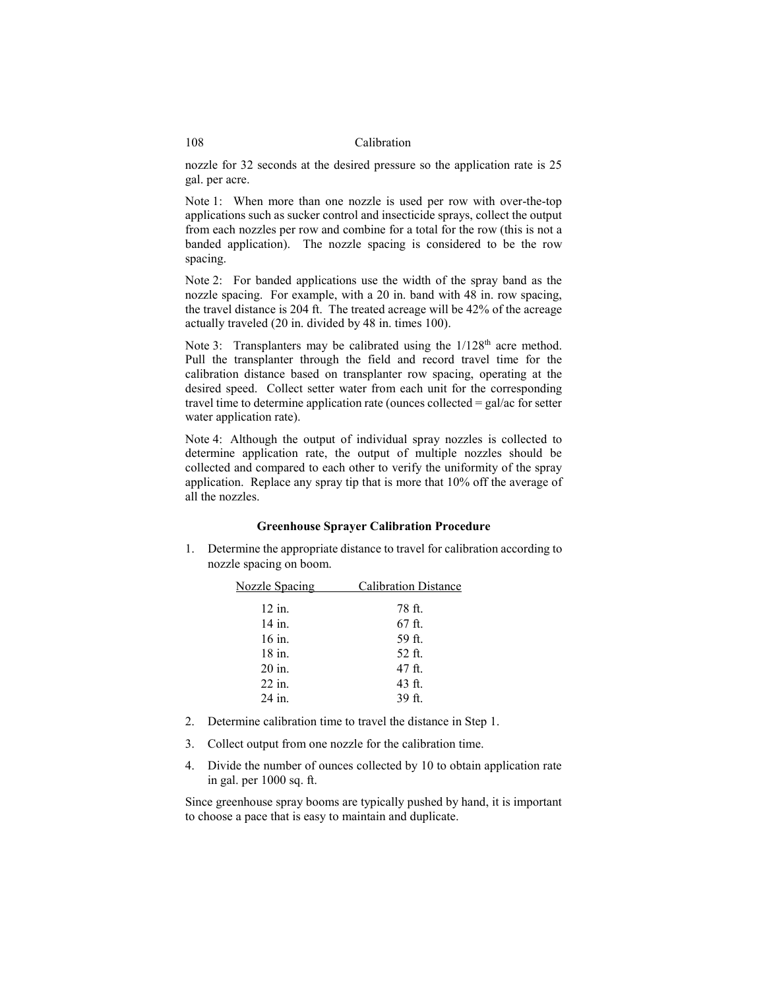### 108 Calibration

nozzle for 32 seconds at the desired pressure so the application rate is 25 gal. per acre.

Note 1: When more than one nozzle is used per row with over-the-top applications such as sucker control and insecticide sprays, collect the output from each nozzles per row and combine for a total for the row (this is not a banded application). The nozzle spacing is considered to be the row spacing.

Note 2: For banded applications use the width of the spray band as the nozzle spacing. For example, with a 20 in. band with 48 in. row spacing, the travel distance is 204 ft. The treated acreage will be 42% of the acreage actually traveled (20 in. divided by 48 in. times 100).

Note 3: Transplanters may be calibrated using the  $1/128<sup>th</sup>$  acre method. Pull the transplanter through the field and record travel time for the calibration distance based on transplanter row spacing, operating at the desired speed. Collect setter water from each unit for the corresponding travel time to determine application rate (ounces collected  $=$  gal/ac for setter water application rate).

Note 4: Although the output of individual spray nozzles is collected to determine application rate, the output of multiple nozzles should be collected and compared to each other to verify the uniformity of the spray application. Replace any spray tip that is more that 10% off the average of all the nozzles.

### **Greenhouse Sprayer Calibration Procedure**

1. Determine the appropriate distance to travel for calibration according to nozzle spacing on boom.

| <b>Nozzle Spacing</b> | <b>Calibration Distance</b> |  |  |
|-----------------------|-----------------------------|--|--|
| 12 in.                | 78 ft.                      |  |  |
| 14 in.                | 67 ft.                      |  |  |
| 16 in.                | 59 ft.                      |  |  |
| 18 in.                | 52 ft.                      |  |  |
| 20 in.                | 47 ft.                      |  |  |
| 22 in.                | 43 ft.                      |  |  |
| 24 in.                | 39 ft.                      |  |  |
|                       |                             |  |  |

- 2. Determine calibration time to travel the distance in Step 1.
- 3. Collect output from one nozzle for the calibration time.
- 4. Divide the number of ounces collected by 10 to obtain application rate in gal. per 1000 sq. ft.

Since greenhouse spray booms are typically pushed by hand, it is important to choose a pace that is easy to maintain and duplicate.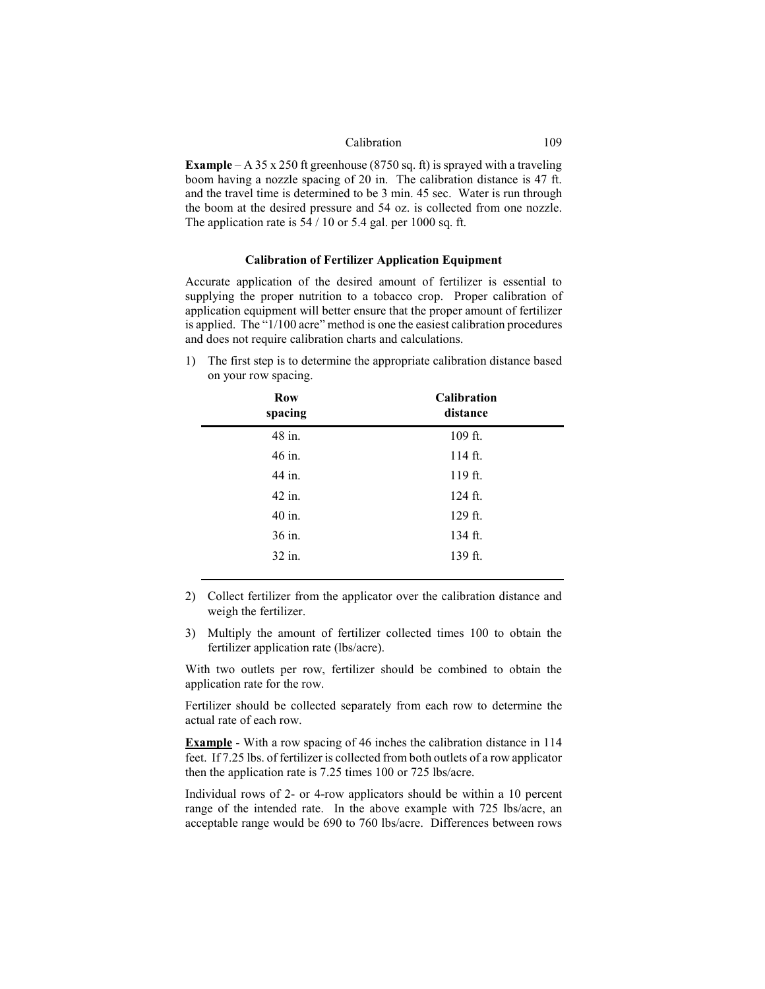### Calibration 109

**Example** – A 35 x 250 ft greenhouse (8750 sq. ft) is sprayed with a traveling boom having a nozzle spacing of 20 in. The calibration distance is 47 ft. and the travel time is determined to be 3 min. 45 sec. Water is run through the boom at the desired pressure and 54 oz. is collected from one nozzle. The application rate is  $54 / 10$  or 5.4 gal. per 1000 sq. ft.

# **Calibration of Fertilizer Application Equipment**

Accurate application of the desired amount of fertilizer is essential to supplying the proper nutrition to a tobacco crop. Proper calibration of application equipment will better ensure that the proper amount of fertilizer is applied. The "1/100 acre" method is one the easiest calibration procedures and does not require calibration charts and calculations.

1) The first step is to determine the appropriate calibration distance based on your row spacing.

| Row<br>spacing | <b>Calibration</b><br>distance |  |  |
|----------------|--------------------------------|--|--|
| 48 in.         | 109 ft.                        |  |  |
| 46 in.         | $114$ ft.                      |  |  |
| 44 in.         | 119 ft.                        |  |  |
| 42 in.         | 124 ft.                        |  |  |
| 40 in.         | 129 ft.                        |  |  |
| 36 in.         | 134 ft.                        |  |  |
| 32 in.         | 139 ft.                        |  |  |
|                |                                |  |  |

- 2) Collect fertilizer from the applicator over the calibration distance and weigh the fertilizer.
- 3) Multiply the amount of fertilizer collected times 100 to obtain the fertilizer application rate (lbs/acre).

With two outlets per row, fertilizer should be combined to obtain the application rate for the row.

Fertilizer should be collected separately from each row to determine the actual rate of each row.

**Example** - With a row spacing of 46 inches the calibration distance in 114 feet. If 7.25 lbs. of fertilizer is collected from both outlets of a row applicator then the application rate is 7.25 times 100 or 725 lbs/acre.

Individual rows of 2- or 4-row applicators should be within a 10 percent range of the intended rate. In the above example with 725 lbs/acre, an acceptable range would be 690 to 760 lbs/acre. Differences between rows